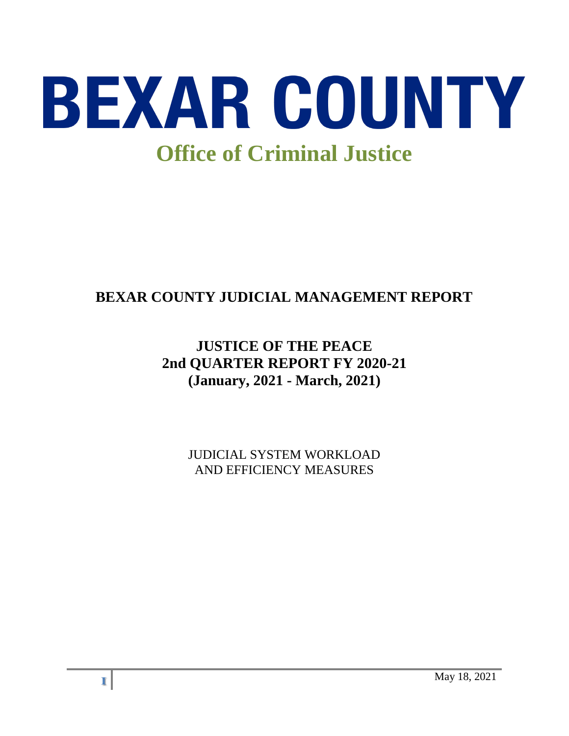

# **BEXAR COUNTY JUDICIAL MANAGEMENT REPORT**

# **JUSTICE OF THE PEACE 2nd QUARTER REPORT FY 2020-21 (January, 2021 - March, 2021)**

JUDICIAL SYSTEM WORKLOAD AND EFFICIENCY MEASURES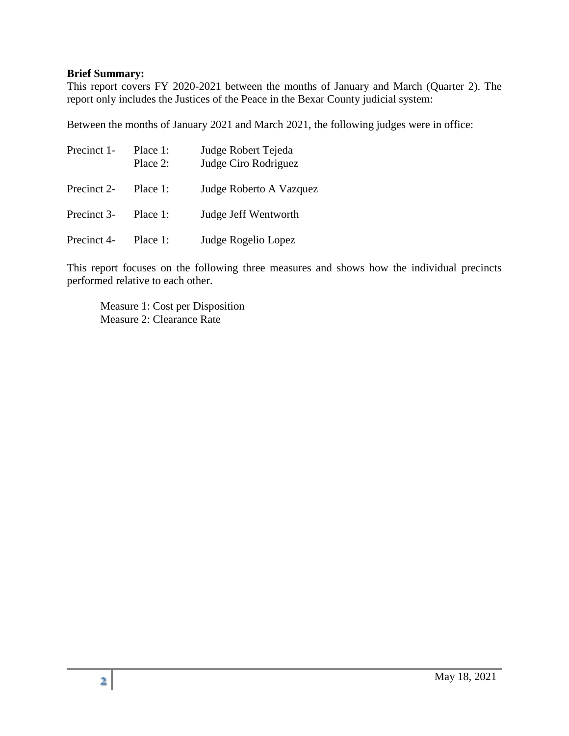#### **Brief Summary:**

This report covers FY 2020-2021 between the months of January and March (Quarter 2). The report only includes the Justices of the Peace in the Bexar County judicial system:

Between the months of January 2021 and March 2021, the following judges were in office:

| Precinct 1- | Place 1:<br>Place 2: | Judge Robert Tejeda<br>Judge Ciro Rodriguez |  |
|-------------|----------------------|---------------------------------------------|--|
| Precinct 2- | Place 1:             | Judge Roberto A Vazquez                     |  |
| Precinct 3- | Place 1:             | Judge Jeff Wentworth                        |  |
| Precinct 4- | Place 1:             | Judge Rogelio Lopez                         |  |

This report focuses on the following three measures and shows how the individual precincts performed relative to each other.

Measure 1: Cost per Disposition Measure 2: Clearance Rate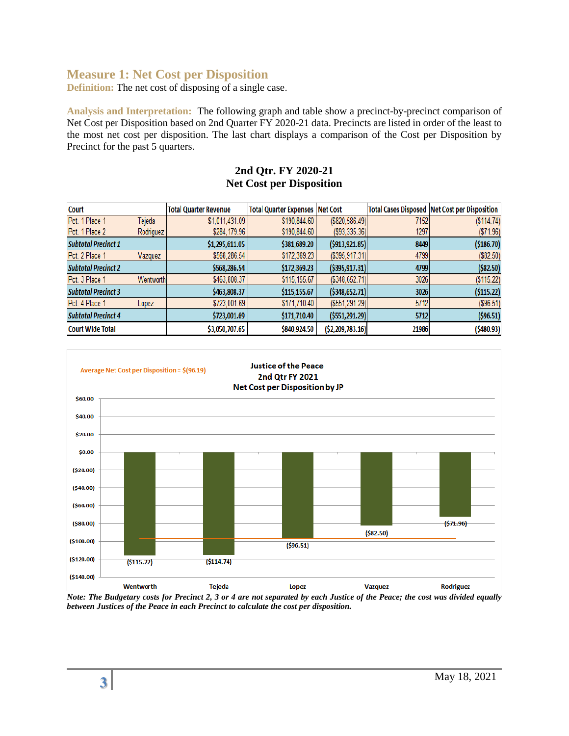## **Measure 1: Net Cost per Disposition**

**Definition:** The net cost of disposing of a single case.

**Analysis and Interpretation:** The following graph and table show a precinct-by-precinct comparison of Net Cost per Disposition based on 2nd Quarter FY 2020-21 data. Precincts are listed in order of the least to the most net cost per disposition. The last chart displays a comparison of the Cost per Disposition by Precinct for the past 5 quarters.

#### **2nd Qtr. FY 2020-21 Net Cost per Disposition**

| <b>Court</b>               |           | <b>Total Quarter Revenue</b> | <b>Total Quarter Expenses   Net Cost</b> |                       |       | <b>Total Cases Disposed   Net Cost per Disposition</b> |
|----------------------------|-----------|------------------------------|------------------------------------------|-----------------------|-------|--------------------------------------------------------|
| Pct. 1 Place 1             | Tejeda    | \$1,011,431.09               | \$190,844.60                             | ( \$820, 586.49]      | 7152  | (S114.74)                                              |
| Pct. 1 Place 2             | Rodriguez | \$284,179.96                 | \$190,844.60                             | $($ \$93,335.36) $ $  | 1297  | ( \$71.96)                                             |
| <b>Subtotal Precinct 1</b> |           | \$1,295,611.05               | \$381,689.20                             | (5913, 921.85)        | 8449  | ( \$186.70)                                            |
| Pct. 2 Place 1             | Vazquez   | \$568,286.54                 | \$172,369.23                             | $($ \$395,917.31) $ $ | 4799  | (\$82.50)                                              |
| <b>Subtotal Precinct 2</b> |           | \$568,286.54                 | \$172,369.23                             | ( \$395, 917.31]      | 4799  | ( \$82.50)                                             |
| Pct. 3 Place 1             | Wentworth | \$463,808.37                 | \$115,155.67                             | $($ \$348,652.71) $ $ | 3026  | (\$115.22)                                             |
| <b>Subtotal Precinct 3</b> |           | \$463,808.37                 | \$115,155.67                             | ( \$348, 652.71]      | 3026  | ( \$115.22)                                            |
| Pct. 4 Place 1             | Lopez     | \$723,001.69                 | \$171,710.40                             | ( \$551, 291.29]      | 5712  | (\$96.51)                                              |
| <b>Subtotal Precinct 4</b> |           | \$723,001.69                 | \$171,710.40                             | ( \$551, 291.29]      | 5712  | ( \$96.51)                                             |
| <b>Court Wide Total</b>    |           | \$3,050,707.65               | \$840,924.50                             | ( \$2,209,783.16)     | 21986 | ( \$480.93]                                            |



*Note: The Budgetary costs for Precinct 2, 3 or 4 are not separated by each Justice of the Peace; the cost was divided equally between Justices of the Peace in each Precinct to calculate the cost per disposition.*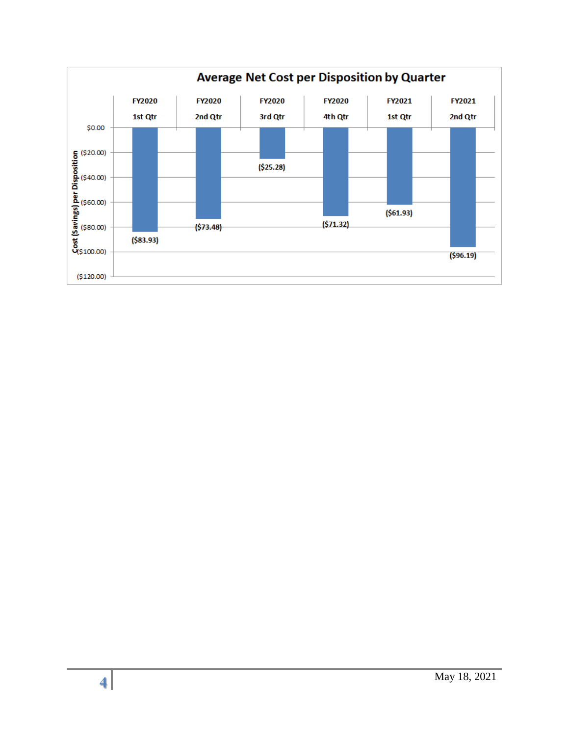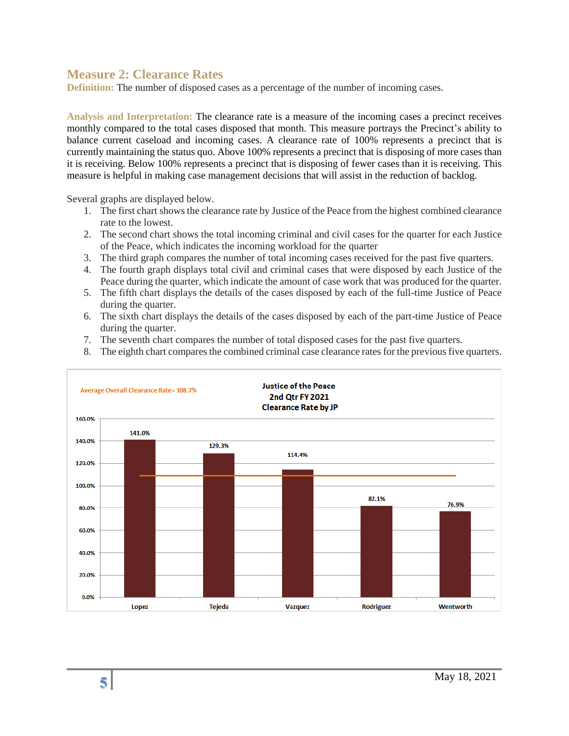#### **Measure 2: Clearance Rates**

**Definition:** The number of disposed cases as a percentage of the number of incoming cases.

**Analysis and Interpretation:** The clearance rate is a measure of the incoming cases a precinct receives monthly compared to the total cases disposed that month. This measure portrays the Precinct's ability to balance current caseload and incoming cases. A clearance rate of 100% represents a precinct that is currently maintaining the status quo. Above 100% represents a precinct that is disposing of more cases than it is receiving. Below 100% represents a precinct that is disposing of fewer cases than it is receiving. This measure is helpful in making case management decisions that will assist in the reduction of backlog.

Several graphs are displayed below.

- 1. The first chart shows the clearance rate by Justice of the Peace from the highest combined clearance rate to the lowest.
- 2. The second chart shows the total incoming criminal and civil cases for the quarter for each Justice of the Peace, which indicates the incoming workload for the quarter
- 3. The third graph compares the number of total incoming cases received for the past five quarters.
- 4. The fourth graph displays total civil and criminal cases that were disposed by each Justice of the Peace during the quarter, which indicate the amount of case work that was produced for the quarter.
- 5. The fifth chart displays the details of the cases disposed by each of the full-time Justice of Peace during the quarter.
- 6. The sixth chart displays the details of the cases disposed by each of the part-time Justice of Peace during the quarter.
- 7. The seventh chart compares the number of total disposed cases for the past five quarters.
- 8. The eighth chart compares the combined criminal case clearance rates for the previous five quarters.

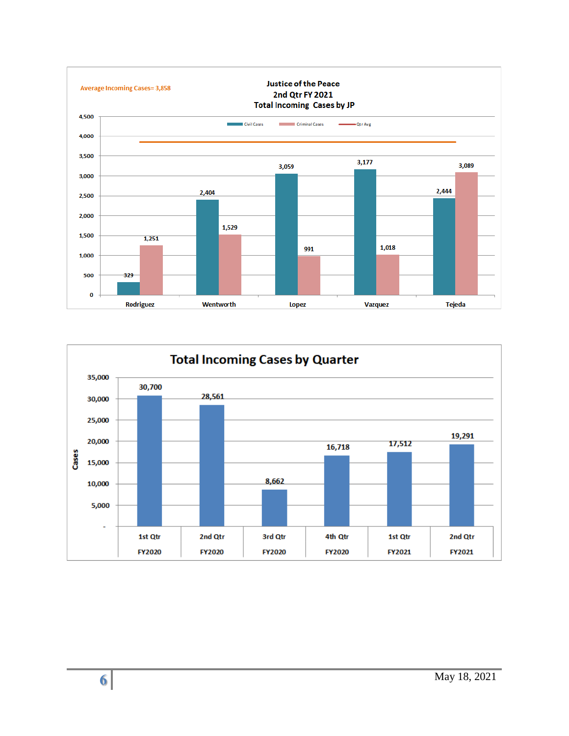

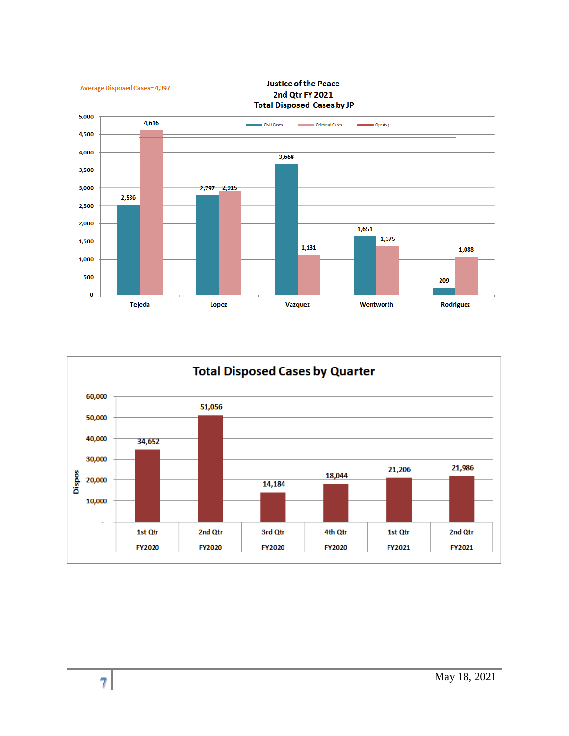

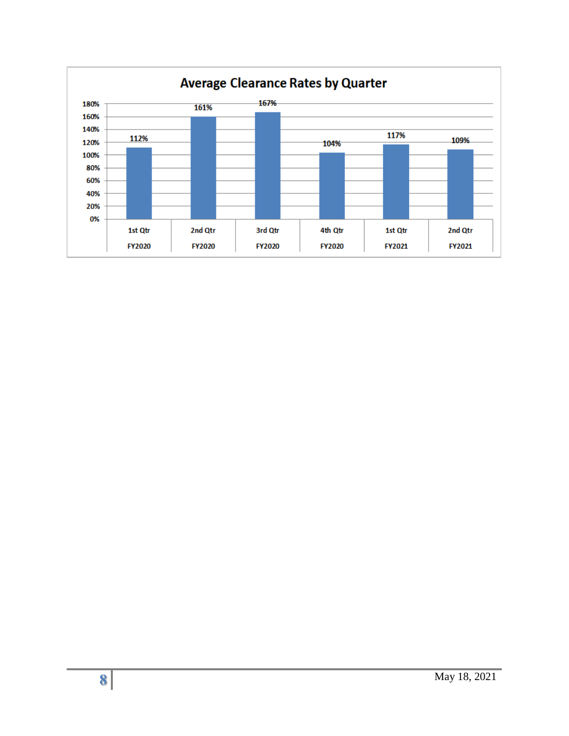